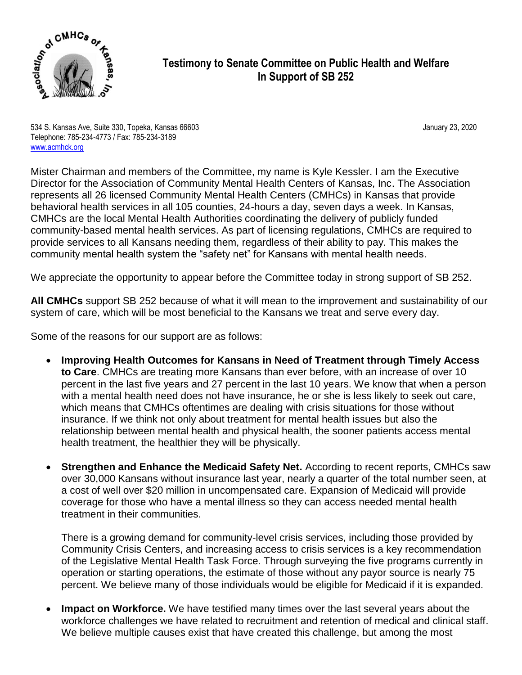

## **Testimony to Senate Committee on Public Health and Welfare In Support of SB 252**

534 S. Kansas Ave, Suite 330, Topeka, Kansas 66603 January 23, 2020 Telephone: 785-234-4773 / Fax: 785-234-3189 [www.acmhck.org](http://www.acmhck.org/)

Mister Chairman and members of the Committee, my name is Kyle Kessler. I am the Executive Director for the Association of Community Mental Health Centers of Kansas, Inc. The Association represents all 26 licensed Community Mental Health Centers (CMHCs) in Kansas that provide behavioral health services in all 105 counties, 24-hours a day, seven days a week. In Kansas, CMHCs are the local Mental Health Authorities coordinating the delivery of publicly funded community-based mental health services. As part of licensing regulations, CMHCs are required to provide services to all Kansans needing them, regardless of their ability to pay. This makes the community mental health system the "safety net" for Kansans with mental health needs.

We appreciate the opportunity to appear before the Committee today in strong support of SB 252.

**All CMHCs** support SB 252 because of what it will mean to the improvement and sustainability of our system of care, which will be most beneficial to the Kansans we treat and serve every day.

Some of the reasons for our support are as follows:

- **Improving Health Outcomes for Kansans in Need of Treatment through Timely Access to Care**. CMHCs are treating more Kansans than ever before, with an increase of over 10 percent in the last five years and 27 percent in the last 10 years. We know that when a person with a mental health need does not have insurance, he or she is less likely to seek out care, which means that CMHCs oftentimes are dealing with crisis situations for those without insurance. If we think not only about treatment for mental health issues but also the relationship between mental health and physical health, the sooner patients access mental health treatment, the healthier they will be physically.
- **Strengthen and Enhance the Medicaid Safety Net.** According to recent reports, CMHCs saw over 30,000 Kansans without insurance last year, nearly a quarter of the total number seen, at a cost of well over \$20 million in uncompensated care. Expansion of Medicaid will provide coverage for those who have a mental illness so they can access needed mental health treatment in their communities.

There is a growing demand for community-level crisis services, including those provided by Community Crisis Centers, and increasing access to crisis services is a key recommendation of the Legislative Mental Health Task Force. Through surveying the five programs currently in operation or starting operations, the estimate of those without any payor source is nearly 75 percent. We believe many of those individuals would be eligible for Medicaid if it is expanded.

 **Impact on Workforce.** We have testified many times over the last several years about the workforce challenges we have related to recruitment and retention of medical and clinical staff. We believe multiple causes exist that have created this challenge, but among the most